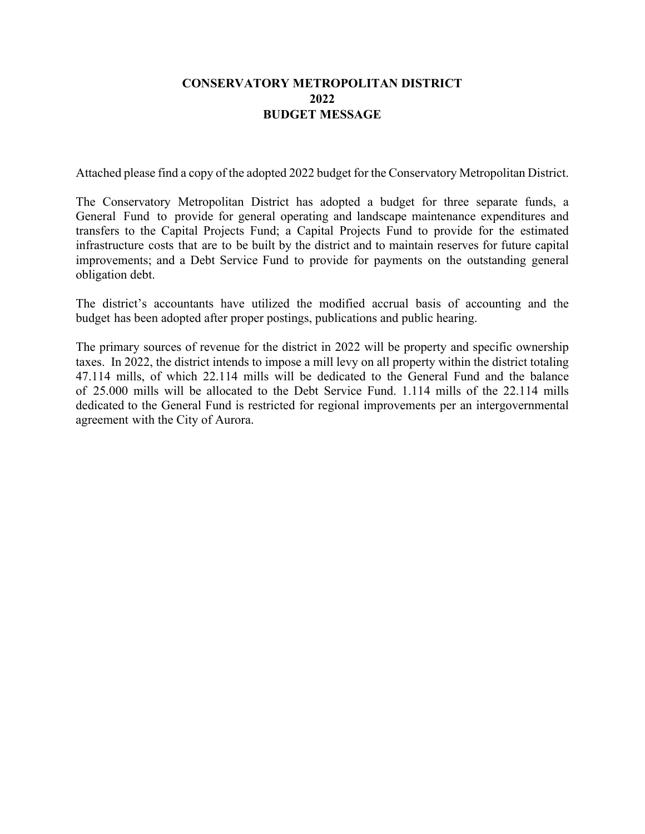## **CONSERVATORY METROPOLITAN DISTRICT 2022 BUDGET MESSAGE**

Attached please find a copy of the adopted 2022 budget for the Conservatory Metropolitan District.

The Conservatory Metropolitan District has adopted a budget for three separate funds, a General Fund to provide for general operating and landscape maintenance expenditures and transfers to the Capital Projects Fund; a Capital Projects Fund to provide for the estimated infrastructure costs that are to be built by the district and to maintain reserves for future capital improvements; and a Debt Service Fund to provide for payments on the outstanding general obligation debt.

The district's accountants have utilized the modified accrual basis of accounting and the budget has been adopted after proper postings, publications and public hearing.

The primary sources of revenue for the district in 2022 will be property and specific ownership taxes. In 2022, the district intends to impose a mill levy on all property within the district totaling 47.114 mills, of which 22.114 mills will be dedicated to the General Fund and the balance of 25.000 mills will be allocated to the Debt Service Fund. 1.114 mills of the 22.114 mills dedicated to the General Fund is restricted for regional improvements per an intergovernmental agreement with the City of Aurora.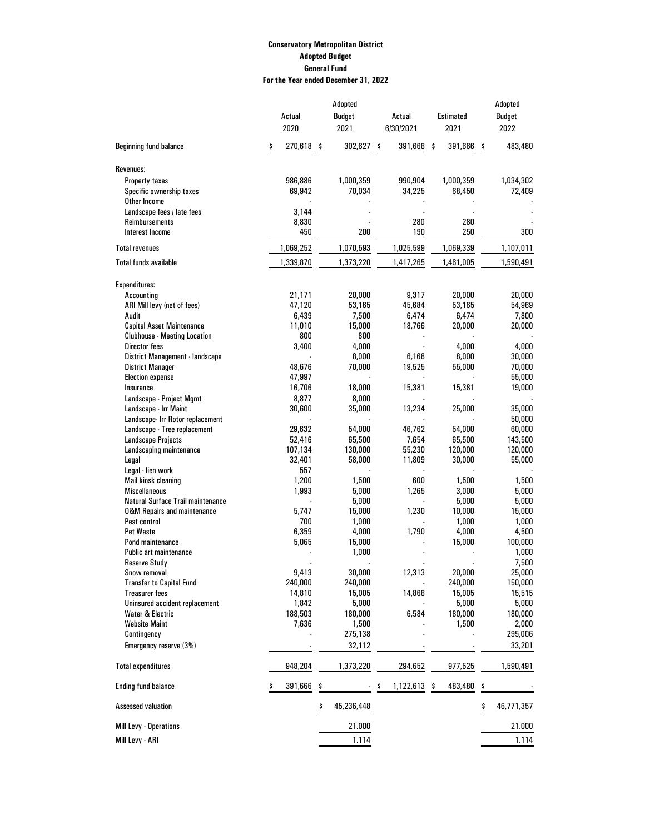## **Conservatory Metropolitan District Adopted Budget General Fund For the Year ended December 31, 2022**

|                                          | Adopted       |    |               |    |           |    | Adopted          |    |               |
|------------------------------------------|---------------|----|---------------|----|-----------|----|------------------|----|---------------|
|                                          | Actual        |    | <b>Budget</b> |    | Actual    |    | <b>Estimated</b> |    | <b>Budget</b> |
|                                          | 2020          |    | 2021          |    | 6/30/2021 |    | 2021             |    | 2022          |
|                                          |               |    |               |    |           |    |                  |    |               |
| <b>Beginning fund balance</b>            | \$<br>270,618 | \$ | 302,627       | \$ | 391,666   | \$ | 391,666          | \$ | 483,480       |
| Revenues:                                |               |    |               |    |           |    |                  |    |               |
| <b>Property taxes</b>                    | 986,886       |    | 1,000,359     |    | 990,904   |    | 1,000,359        |    | 1,034,302     |
| Specific ownership taxes                 | 69,942        |    | 70,034        |    | 34,225    |    | 68,450           |    | 72,409        |
| Other Income                             |               |    |               |    |           |    |                  |    |               |
| Landscape fees / late fees               | 3,144         |    |               |    |           |    |                  |    |               |
| Reimbursements                           | 8,830         |    |               |    | 280       |    | 280              |    |               |
| <b>Interest Income</b>                   | 450           |    | 200           |    | 190       |    | 250              |    | 300           |
| <b>Total revenues</b>                    | 1,069,252     |    | 1,070,593     |    | 1,025,599 |    | 1,069,339        |    | 1,107,011     |
| <b>Total funds available</b>             | 1,339,870     |    | 1,373,220     |    | 1,417,265 |    | 1,461,005        |    | 1,590,491     |
| <b>Expenditures:</b>                     |               |    |               |    |           |    |                  |    |               |
| Accounting                               | 21,171        |    | 20,000        |    | 9,317     |    | 20,000           |    | 20,000        |
| ARI Mill levy (net of fees)              | 47,120        |    | 53,165        |    | 45,684    |    | 53,165           |    | 54,969        |
| Audit                                    | 6,439         |    | 7,500         |    | 6,474     |    | 6,474            |    | 7,800         |
| <b>Capital Asset Maintenance</b>         | 11,010        |    | 15,000        |    | 18,766    |    | 20,000           |    | 20,000        |
| <b>Clubhouse - Meeting Location</b>      | 800           |    | 800           |    |           |    |                  |    |               |
| <b>Director fees</b>                     | 3,400         |    | 4,000         |    |           |    | 4,000            |    | 4,000         |
| District Management - landscape          |               |    | 8,000         |    | 6,168     |    | 8,000            |    | 30,000        |
| <b>District Manager</b>                  | 48,676        |    | 70,000        |    | 19,525    |    | 55,000           |    | 70,000        |
| <b>Election expense</b>                  | 47,997        |    |               |    |           |    |                  |    | 55,000        |
| Insurance                                | 16,706        |    | 18,000        |    | 15,381    |    | 15,381           |    | 19,000        |
| Landscape - Project Mgmt                 | 8,877         |    | 8,000         |    |           |    |                  |    |               |
| Landscape - Irr Maint                    | 30,600        |    | 35,000        |    | 13,234    |    | 25,000           |    | 35,000        |
| Landscape- Irr Rotor replacement         |               |    |               |    |           |    |                  |    | 50,000        |
| Landscape - Tree replacement             | 29,632        |    | 54,000        |    | 46,762    |    | 54,000           |    | 60,000        |
| <b>Landscape Projects</b>                | 52,416        |    | 65,500        |    | 7,654     |    | 65,500           |    | 143,500       |
| Landscaping maintenance                  | 107,134       |    | 130,000       |    | 55,230    |    | 120,000          |    | 120,000       |
| Legal                                    | 32,401        |    | 58,000        |    | 11,809    |    | 30,000           |    | 55,000        |
| Legal - lien work                        | 557           |    |               |    |           |    |                  |    |               |
| Mail kiosk cleaning                      | 1,200         |    | 1,500         |    | 600       |    | 1,500            |    | 1,500         |
| <b>Miscellaneous</b>                     | 1,993         |    | 5,000         |    | 1,265     |    | 3,000            |    | 5,000         |
| <b>Natural Surface Trail maintenance</b> |               |    | 5,000         |    |           |    | 5,000            |    | 5,000         |
| <b>0&amp;M Repairs and maintenance</b>   | 5,747         |    | 15,000        |    | 1,230     |    | 10,000           |    | 15,000        |
| Pest control                             | 700           |    | 1,000         |    |           |    | 1,000            |    | 1,000         |
| Pet Waste                                | 6,359         |    | 4,000         |    | 1,790     |    | 4,000            |    | 4,500         |
| Pond maintenance                         | 5,065         |    | 15,000        |    |           |    | 15,000           |    | 100,000       |
| <b>Public art maintenance</b>            |               |    | 1,000         |    |           |    |                  |    | 1,000         |
| <b>Reserve Study</b>                     |               |    |               |    |           |    |                  |    | 7,500         |
| Snow removal                             | 9,413         |    | 30,000        |    | 12,313    |    | 20,000           |    | 25,000        |
| <b>Transfer to Capital Fund</b>          | 240,000       |    | 240,000       |    |           |    | 240,000          |    | 150,000       |
| <b>Treasurer fees</b>                    | 14,810        |    | 15,005        |    | 14,866    |    | 15,005           |    | 15,515        |
| Uninsured accident replacement           | 1,842         |    | 5,000         |    |           |    | 5,000            |    | 5,000         |
| <b>Water &amp; Electric</b>              | 188,503       |    | 180,000       |    | 6,584     |    | 180,000          |    | 180,000       |
| <b>Website Maint</b>                     | 7,636         |    | 1,500         |    |           |    | 1,500            |    | 2,000         |
| Contingency                              |               |    | 275,138       |    |           |    |                  |    | 295,006       |
| Emergency reserve (3%)                   |               |    | 32,112        |    |           |    |                  |    | 33,201        |
|                                          |               |    |               |    |           |    |                  |    |               |
| <b>Total expenditures</b>                | 948,204       |    | 1,373,220     |    | 294,652   |    | 977,525          |    | 1,590,491     |
| <b>Ending fund balance</b>               | 391,666       |    |               | \$ | 1,122,613 | \$ | 483,480          | \$ |               |
| <b>Assessed valuation</b>                |               | \$ | 45,236,448    |    |           |    |                  | \$ | 46,771,357    |
| Mill Levy - Operations                   |               |    | 21.000        |    |           |    |                  |    | 21.000        |
| Mill Levy - ARI                          |               |    | 1.114         |    |           |    |                  |    | 1.114         |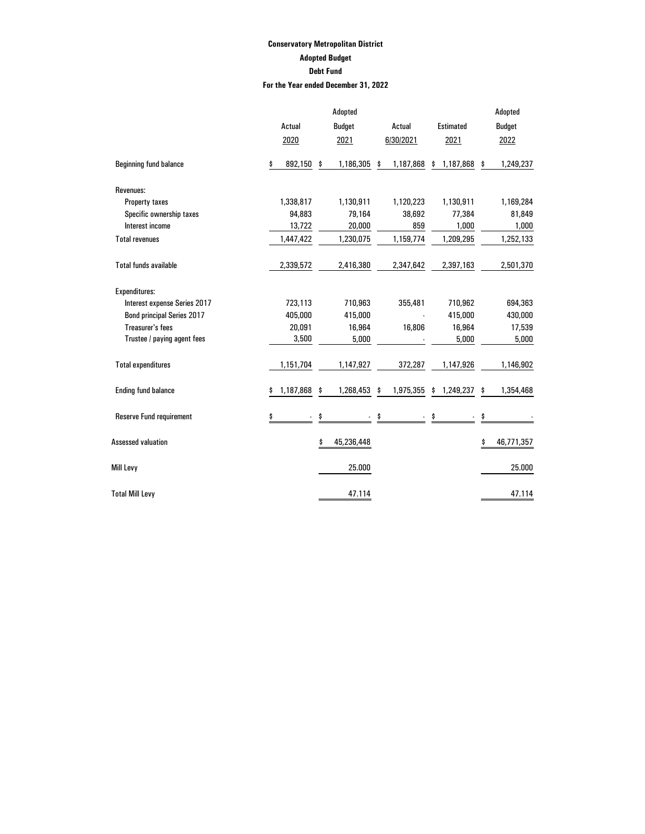## **Conservatory Metropolitan District Adopted Budget Debt Fund For the Year ended December 31, 2022**

|                                   |                      | Adopted          |                                   |                  | Adopted          |
|-----------------------------------|----------------------|------------------|-----------------------------------|------------------|------------------|
|                                   | Actual               | <b>Budget</b>    | Actual                            | <b>Estimated</b> | <b>Budget</b>    |
|                                   | 2020                 | 2021             | 6/30/2021                         | 2021             | 2022             |
| <b>Beginning fund balance</b>     | \$<br>892,150        | \$<br>1,186,305  | \$<br>1,187,868                   | \$<br>1,187,868  | \$<br>1,249,237  |
| Revenues:                         |                      |                  |                                   |                  |                  |
| Property taxes                    | 1,338,817            | 1,130,911        | 1,120,223                         | 1,130,911        | 1,169,284        |
| Specific ownership taxes          | 94,883               | 79,164           | 38,692                            | 77,384           | 81,849           |
| Interest income                   | 13,722               | 20,000           | 859                               | 1,000            | 1,000            |
| <b>Total revenues</b>             | 1,447,422            | 1,230,075        | 1,159,774                         | 1,209,295        | 1,252,133        |
| <b>Total funds available</b>      | 2,339,572            | 2,416,380        | 2,347,642                         | 2,397,163        | 2,501,370        |
| Expenditures:                     |                      |                  |                                   |                  |                  |
| Interest expense Series 2017      | 723,113              | 710,963          | 355,481                           | 710,962          | 694,363          |
| <b>Bond principal Series 2017</b> | 405,000              | 415,000          |                                   | 415,000          | 430,000          |
| <b>Treasurer's fees</b>           | 20,091               | 16,964           | 16,806                            | 16,964           | 17,539           |
| Trustee / paying agent fees       | 3,500                | 5,000            |                                   | 5,000            | 5,000            |
| <b>Total expenditures</b>         | 1,151,704            | 1,147,927        | 372,287                           | 1,147,926        | 1,146,902        |
| <b>Ending fund balance</b>        | \$<br>1,187,868      | \$<br>1,268,453  | \$<br>1,975,355                   | \$1,249,237      | \$<br>1,354,468  |
| <b>Reserve Fund requirement</b>   | \$<br>$\blacksquare$ | \$               | \$<br>$\mathcal{L}_{\mathcal{A}}$ | \$               | \$               |
| <b>Assessed valuation</b>         |                      | \$<br>45,236,448 |                                   |                  | \$<br>46,771,357 |
| Mill Levy                         |                      | 25.000           |                                   |                  | 25.000           |
| <b>Total Mill Levy</b>            |                      | 47.114           |                                   |                  | 47.114           |